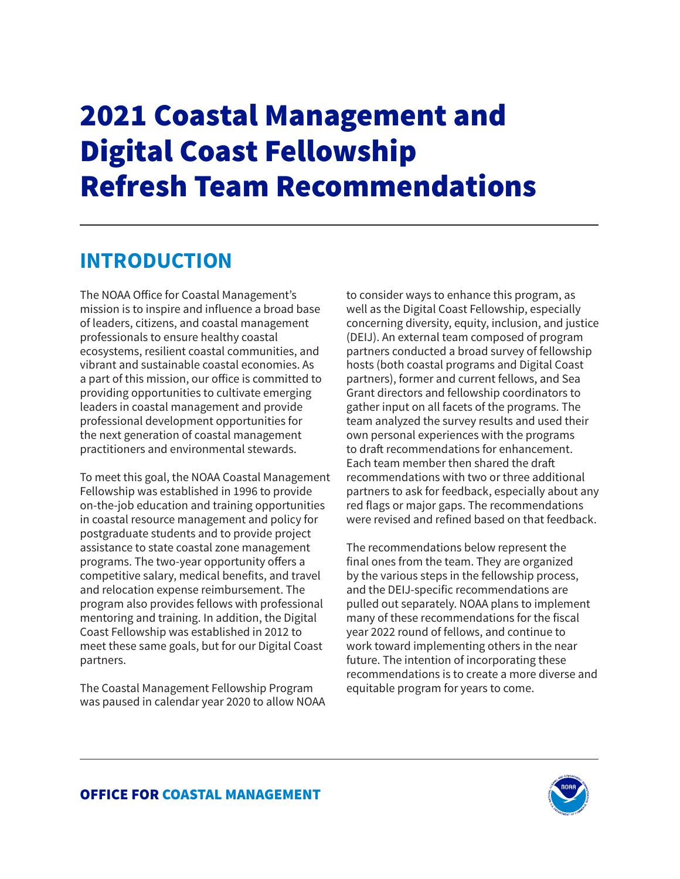# 2021 Coastal Management and Digital Coast Fellowship Refresh Team Recommendations

## **INTRODUCTION**

The NOAA Office for Coastal Management's mission is to inspire and influence a broad base of leaders, citizens, and coastal management professionals to ensure healthy coastal ecosystems, resilient coastal communities, and vibrant and sustainable coastal economies. As a part of this mission, our office is committed to providing opportunities to cultivate emerging leaders in coastal management and provide professional development opportunities for the next generation of coastal management practitioners and environmental stewards.

To meet this goal, the NOAA Coastal Management Fellowship was established in 1996 to provide on-the-job education and training opportunities in coastal resource management and policy for postgraduate students and to provide project assistance to state coastal zone management programs. The two-year opportunity offers a competitive salary, medical benefits, and travel and relocation expense reimbursement. The program also provides fellows with professional mentoring and training. In addition, the Digital Coast Fellowship was established in 2012 to meet these same goals, but for our Digital Coast partners.

The Coastal Management Fellowship Program was paused in calendar year 2020 to allow NOAA to consider ways to enhance this program, as well as the Digital Coast Fellowship, especially concerning diversity, equity, inclusion, and justice (DEIJ). An external team composed of program partners conducted a broad survey of fellowship hosts (both coastal programs and Digital Coast partners), former and current fellows, and Sea Grant directors and fellowship coordinators to gather input on all facets of the programs. The team analyzed the survey results and used their own personal experiences with the programs to draft recommendations for enhancement. Each team member then shared the draft recommendations with two or three additional partners to ask for feedback, especially about any red flags or major gaps. The recommendations were revised and refined based on that feedback.

The recommendations below represent the final ones from the team. They are organized by the various steps in the fellowship process, and the DEIJ-specific recommendations are pulled out separately. NOAA plans to implement many of these recommendations for the fiscal year 2022 round of fellows, and continue to work toward implementing others in the near future. The intention of incorporating these recommendations is to create a more diverse and equitable program for years to come.

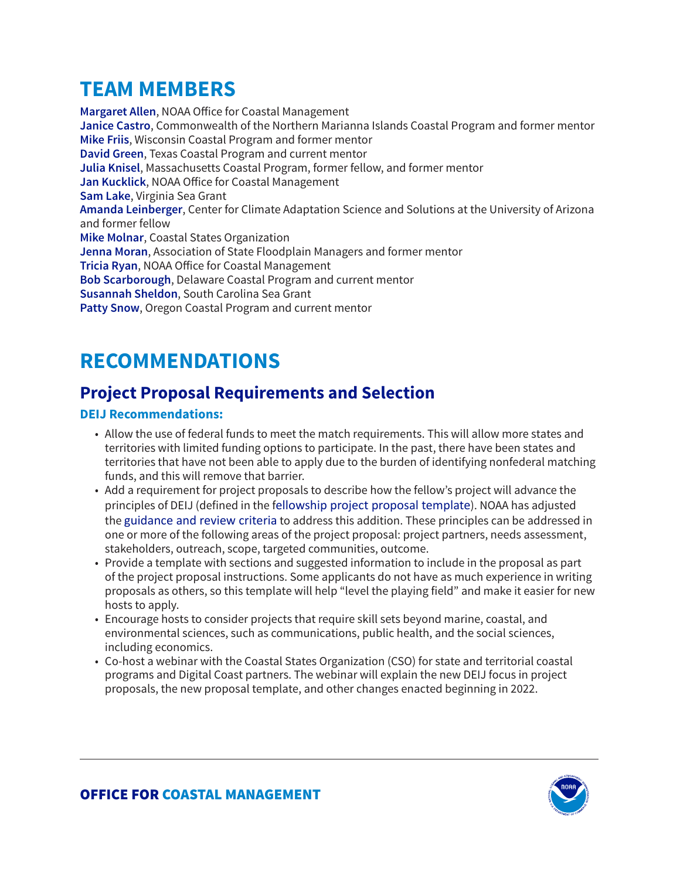# **TEAM MEMBERS**

**Margaret Allen**, NOAA Office for Coastal Management **Janice Castro**, Commonwealth of the Northern Marianna Islands Coastal Program and former mentor **Mike Friis**, Wisconsin Coastal Program and former mentor **David Green**, Texas Coastal Program and current mentor **Julia Knisel**, Massachusetts Coastal Program, former fellow, and former mentor **Jan Kucklick**, NOAA Office for Coastal Management **Sam Lake**, Virginia Sea Grant **Amanda Leinberger**, Center for Climate Adaptation Science and Solutions at the University of Arizona and former fellow **Mike Molnar**, Coastal States Organization **Jenna Moran**, Association of State Floodplain Managers and former mentor **Tricia Ryan**, NOAA Office for Coastal Management **Bob Scarborough**, Delaware Coastal Program and current mentor **Susannah Sheldon**, South Carolina Sea Grant **Patty Snow**, Oregon Coastal Program and current mentor

# **RECOMMENDATIONS**

### **Project Proposal Requirements and Selection**

### **DEIJ Recommendations:**

- Allow the use of federal funds to meet the match requirements. This will allow more states and territories with limited funding options to participate. In the past, there have been states and territories that have not been able to apply due to the burden of identifying nonfederal matching funds, and this will remove that barrier.
- Add a requirement for project proposals to describe how the fellow's project will advance the principles of DEIJ (defined in the f[ellowship project proposal template](https://coast.noaa.gov/data/coasthome/fellowship/docs/template-proposals.docx)). NOAA has adjusted the [guidance and review criteria](https://coast.noaa.gov/fellowship/projectselection.html) to address this addition. These principles can be addressed in one or more of the following areas of the project proposal: project partners, needs assessment, stakeholders, outreach, scope, targeted communities, outcome.
- Provide a template with sections and suggested information to include in the proposal as part of the project proposal instructions. Some applicants do not have as much experience in writing proposals as others, so this template will help "level the playing field" and make it easier for new hosts to apply.
- Encourage hosts to consider projects that require skill sets beyond marine, coastal, and environmental sciences, such as communications, public health, and the social sciences, including economics.
- Co-host a webinar with the Coastal States Organization (CSO) for state and territorial coastal programs and Digital Coast partners. The webinar will explain the new DEIJ focus in project proposals, the new proposal template, and other changes enacted beginning in 2022.

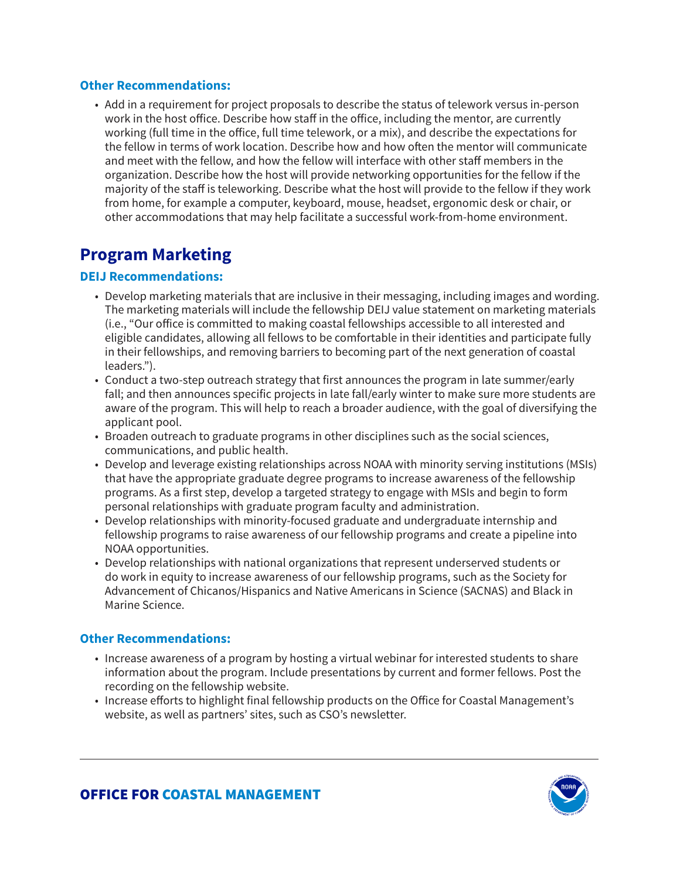#### **Other Recommendations:**

• Add in a requirement for project proposals to describe the status of telework versus in-person work in the host office. Describe how staff in the office, including the mentor, are currently working (full time in the office, full time telework, or a mix), and describe the expectations for the fellow in terms of work location. Describe how and how often the mentor will communicate and meet with the fellow, and how the fellow will interface with other staff members in the organization. Describe how the host will provide networking opportunities for the fellow if the majority of the staff is teleworking. Describe what the host will provide to the fellow if they work from home, for example a computer, keyboard, mouse, headset, ergonomic desk or chair, or other accommodations that may help facilitate a successful work-from-home environment.

### **Program Marketing**

#### **DEIJ Recommendations:**

- Develop marketing materials that are inclusive in their messaging, including images and wording. The marketing materials will include the fellowship DEIJ value statement on marketing materials (i.e., "Our office is committed to making coastal fellowships accessible to all interested and eligible candidates, allowing all fellows to be comfortable in their identities and participate fully in their fellowships, and removing barriers to becoming part of the next generation of coastal leaders.").
- Conduct a two-step outreach strategy that first announces the program in late summer/early fall; and then announces specific projects in late fall/early winter to make sure more students are aware of the program. This will help to reach a broader audience, with the goal of diversifying the applicant pool.
- Broaden outreach to graduate programs in other disciplines such as the social sciences, communications, and public health.
- Develop and leverage existing relationships across NOAA with minority serving institutions (MSIs) that have the appropriate graduate degree programs to increase awareness of the fellowship programs. As a first step, develop a targeted strategy to engage with MSIs and begin to form personal relationships with graduate program faculty and administration.
- Develop relationships with minority-focused graduate and undergraduate internship and fellowship programs to raise awareness of our fellowship programs and create a pipeline into NOAA opportunities.
- Develop relationships with national organizations that represent underserved students or do work in equity to increase awareness of our fellowship programs, such as the Society for Advancement of Chicanos/Hispanics and Native Americans in Science (SACNAS) and Black in Marine Science.

#### **Other Recommendations:**

- Increase awareness of a program by hosting a virtual webinar for interested students to share information about the program. Include presentations by current and former fellows. Post the recording on the fellowship website.
- Increase efforts to highlight final fellowship products on the Office for Coastal Management's website, as well as partners' sites, such as CSO's newsletter.

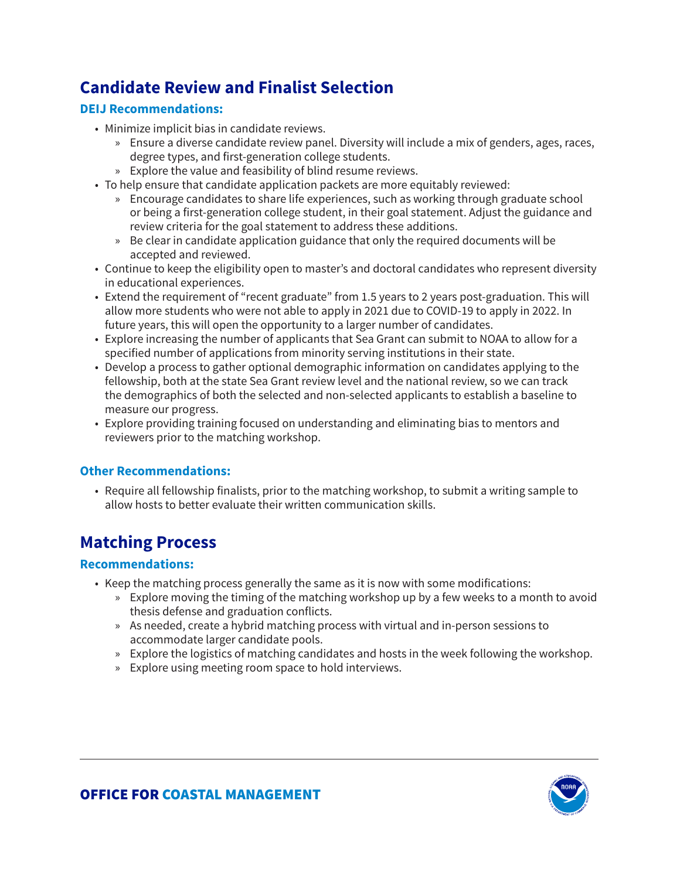### **Candidate Review and Finalist Selection**

### **DEIJ Recommendations:**

- Minimize implicit bias in candidate reviews.
	- » Ensure a diverse candidate review panel. Diversity will include a mix of genders, ages, races, degree types, and first-generation college students.
	- » Explore the value and feasibility of blind resume reviews.
- To help ensure that candidate application packets are more equitably reviewed:
	- » Encourage candidates to share life experiences, such as working through graduate school or being a first-generation college student, in their goal statement. Adjust the guidance and review criteria for the goal statement to address these additions.
	- » Be clear in candidate application guidance that only the required documents will be accepted and reviewed.
- Continue to keep the eligibility open to master's and doctoral candidates who represent diversity in educational experiences.
- Extend the requirement of "recent graduate" from 1.5 years to 2 years post-graduation. This will allow more students who were not able to apply in 2021 due to COVID-19 to apply in 2022. In future years, this will open the opportunity to a larger number of candidates.
- Explore increasing the number of applicants that Sea Grant can submit to NOAA to allow for a specified number of applications from minority serving institutions in their state.
- Develop a process to gather optional demographic information on candidates applying to the fellowship, both at the state Sea Grant review level and the national review, so we can track the demographics of both the selected and non-selected applicants to establish a baseline to measure our progress.
- Explore providing training focused on understanding and eliminating bias to mentors and reviewers prior to the matching workshop.

#### **Other Recommendations:**

• Require all fellowship finalists, prior to the matching workshop, to submit a writing sample to allow hosts to better evaluate their written communication skills.

### **Matching Process**

- Keep the matching process generally the same as it is now with some modifications:
	- » Explore moving the timing of the matching workshop up by a few weeks to a month to avoid thesis defense and graduation conflicts.
	- » As needed, create a hybrid matching process with virtual and in-person sessions to accommodate larger candidate pools.
	- » Explore the logistics of matching candidates and hosts in the week following the workshop.
	- » Explore using meeting room space to hold interviews.

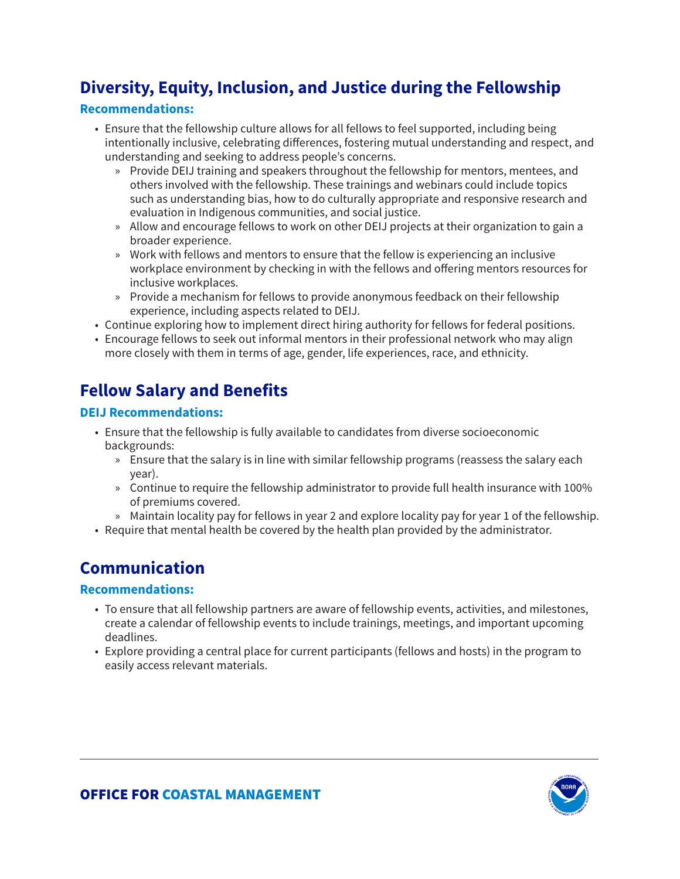### **Diversity, Equity, Inclusion, and Justice during the Fellowship**

#### **Recommendations:**

- Ensure that the fellowship culture allows for all fellows to feel supported, including being intentionally inclusive, celebrating differences, fostering mutual understanding and respect, and understanding and seeking to address people's concerns.
	- » Provide DEIJ training and speakers throughout the fellowship for mentors, mentees, and others involved with the fellowship. These trainings and webinars could include topics such as understanding bias, how to do culturally appropriate and responsive research and evaluation in Indigenous communities, and social justice.
	- » Allow and encourage fellows to work on other DEIJ projects at their organization to gain a broader experience.
	- » Work with fellows and mentors to ensure that the fellow is experiencing an inclusive workplace environment by checking in with the fellows and offering mentors resources for inclusive workplaces.
	- » Provide a mechanism for fellows to provide anonymous feedback on their fellowship experience, including aspects related to DEIJ.
- Continue exploring how to implement direct hiring authority for fellows for federal positions.
- Encourage fellows to seek out informal mentors in their professional network who may align more closely with them in terms of age, gender, life experiences, race, and ethnicity.

### **Fellow Salary and Benefits**

#### **DEIJ Recommendations:**

- Ensure that the fellowship is fully available to candidates from diverse socioeconomic backgrounds:
	- » Ensure that the salary is in line with similar fellowship programs (reassess the salary each year).
	- » Continue to require the fellowship administrator to provide full health insurance with 100% of premiums covered.
	- » Maintain locality pay for fellows in year 2 and explore locality pay for year 1 of the fellowship.
- Require that mental health be covered by the health plan provided by the administrator.

### **Communication**

- To ensure that all fellowship partners are aware of fellowship events, activities, and milestones, create a calendar of fellowship events to include trainings, meetings, and important upcoming deadlines.
- Explore providing a central place for current participants (fellows and hosts) in the program to easily access relevant materials.

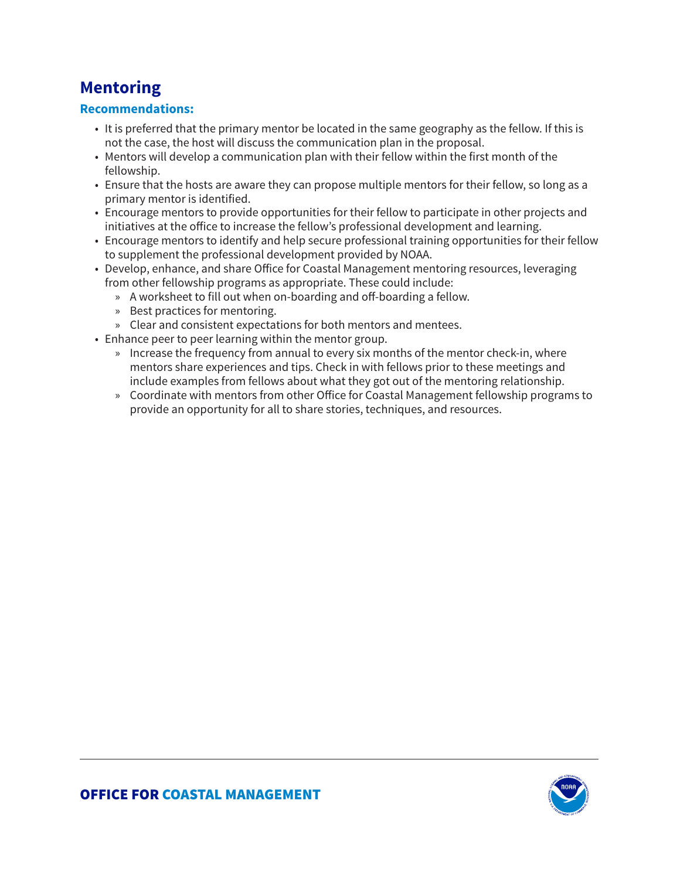### **Mentoring**

- It is preferred that the primary mentor be located in the same geography as the fellow. If this is not the case, the host will discuss the communication plan in the proposal.
- Mentors will develop a communication plan with their fellow within the first month of the fellowship.
- Ensure that the hosts are aware they can propose multiple mentors for their fellow, so long as a primary mentor is identified.
- Encourage mentors to provide opportunities for their fellow to participate in other projects and initiatives at the office to increase the fellow's professional development and learning.
- Encourage mentors to identify and help secure professional training opportunities for their fellow to supplement the professional development provided by NOAA.
- Develop, enhance, and share Office for Coastal Management mentoring resources, leveraging from other fellowship programs as appropriate. These could include:
	- » A worksheet to fill out when on-boarding and off-boarding a fellow.
	- » Best practices for mentoring.
	- » Clear and consistent expectations for both mentors and mentees.
- Enhance peer to peer learning within the mentor group.
	- » Increase the frequency from annual to every six months of the mentor check-in, where mentors share experiences and tips. Check in with fellows prior to these meetings and include examples from fellows about what they got out of the mentoring relationship.
	- » Coordinate with mentors from other Office for Coastal Management fellowship programs to provide an opportunity for all to share stories, techniques, and resources.